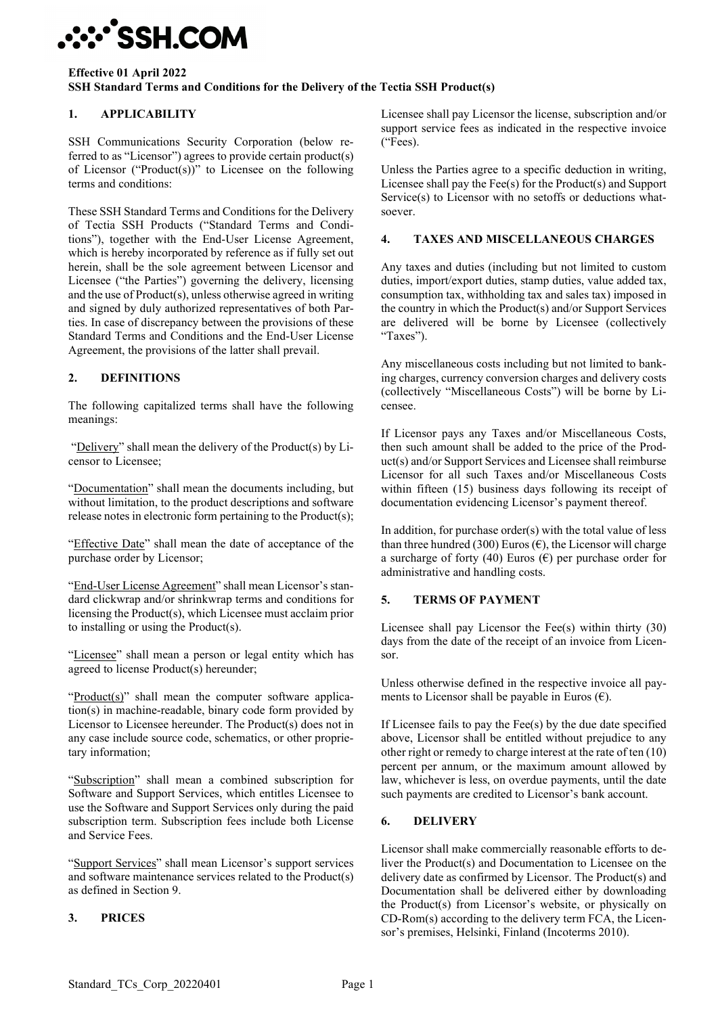## **∵∵^SSH.COM**

#### **Effective 01 April 2022 SSH Standard Terms and Conditions for the Delivery of the Tectia SSH Product(s)**

## **1. APPLICABILITY**

SSH Communications Security Corporation (below referred to as "Licensor") agrees to provide certain product(s) of Licensor ("Product(s))" to Licensee on the following terms and conditions:

These SSH Standard Terms and Conditions for the Delivery of Tectia SSH Products ("Standard Terms and Conditions"), together with the End-User License Agreement, which is hereby incorporated by reference as if fully set out herein, shall be the sole agreement between Licensor and Licensee ("the Parties") governing the delivery, licensing and the use of Product(s), unless otherwise agreed in writing and signed by duly authorized representatives of both Parties. In case of discrepancy between the provisions of these Standard Terms and Conditions and the End-User License Agreement, the provisions of the latter shall prevail.

### **2. DEFINITIONS**

The following capitalized terms shall have the following meanings:

"Delivery" shall mean the delivery of the Product(s) by Licensor to Licensee;

"Documentation" shall mean the documents including, but without limitation, to the product descriptions and software release notes in electronic form pertaining to the Product(s);

"Effective Date" shall mean the date of acceptance of the purchase order by Licensor;

"End-User License Agreement" shall mean Licensor's standard clickwrap and/or shrinkwrap terms and conditions for licensing the Product(s), which Licensee must acclaim prior to installing or using the Product(s).

"Licensee" shall mean a person or legal entity which has agreed to license Product(s) hereunder;

"Product(s)" shall mean the computer software application(s) in machine-readable, binary code form provided by Licensor to Licensee hereunder. The Product(s) does not in any case include source code, schematics, or other proprietary information;

"Subscription" shall mean a combined subscription for Software and Support Services, which entitles Licensee to use the Software and Support Services only during the paid subscription term. Subscription fees include both License and Service Fees.

"Support Services" shall mean Licensor's support services and software maintenance services related to the Product(s) as defined in Section 9.

### **3. PRICES**

Licensee shall pay Licensor the license, subscription and/or support service fees as indicated in the respective invoice ("Fees).

Unless the Parties agree to a specific deduction in writing, Licensee shall pay the Fee(s) for the Product(s) and Support Service(s) to Licensor with no setoffs or deductions whatsoever.

#### **4. TAXES AND MISCELLANEOUS CHARGES**

Any taxes and duties (including but not limited to custom duties, import/export duties, stamp duties, value added tax, consumption tax, withholding tax and sales tax) imposed in the country in which the Product(s) and/or Support Services are delivered will be borne by Licensee (collectively "Taxes").

Any miscellaneous costs including but not limited to banking charges, currency conversion charges and delivery costs (collectively "Miscellaneous Costs") will be borne by Licensee.

If Licensor pays any Taxes and/or Miscellaneous Costs, then such amount shall be added to the price of the Product(s) and/or Support Services and Licensee shall reimburse Licensor for all such Taxes and/or Miscellaneous Costs within fifteen (15) business days following its receipt of documentation evidencing Licensor's payment thereof.

In addition, for purchase order $(s)$  with the total value of less than three hundred (300) Euros ( $\epsilon$ ), the Licensor will charge a surcharge of forty (40) Euros ( $\epsilon$ ) per purchase order for administrative and handling costs.

#### **5. TERMS OF PAYMENT**

Licensee shall pay Licensor the Fee $(s)$  within thirty  $(30)$ days from the date of the receipt of an invoice from Licensor.

Unless otherwise defined in the respective invoice all payments to Licensor shall be payable in Euros  $(\epsilon)$ .

If Licensee fails to pay the Fee(s) by the due date specified above, Licensor shall be entitled without prejudice to any other right or remedy to charge interest at the rate of ten (10) percent per annum, or the maximum amount allowed by law, whichever is less, on overdue payments, until the date such payments are credited to Licensor's bank account.

#### **6. DELIVERY**

Licensor shall make commercially reasonable efforts to deliver the Product(s) and Documentation to Licensee on the delivery date as confirmed by Licensor. The Product(s) and Documentation shall be delivered either by downloading the Product(s) from Licensor's website, or physically on CD-Rom(s) according to the delivery term FCA, the Licensor's premises, Helsinki, Finland (Incoterms 2010).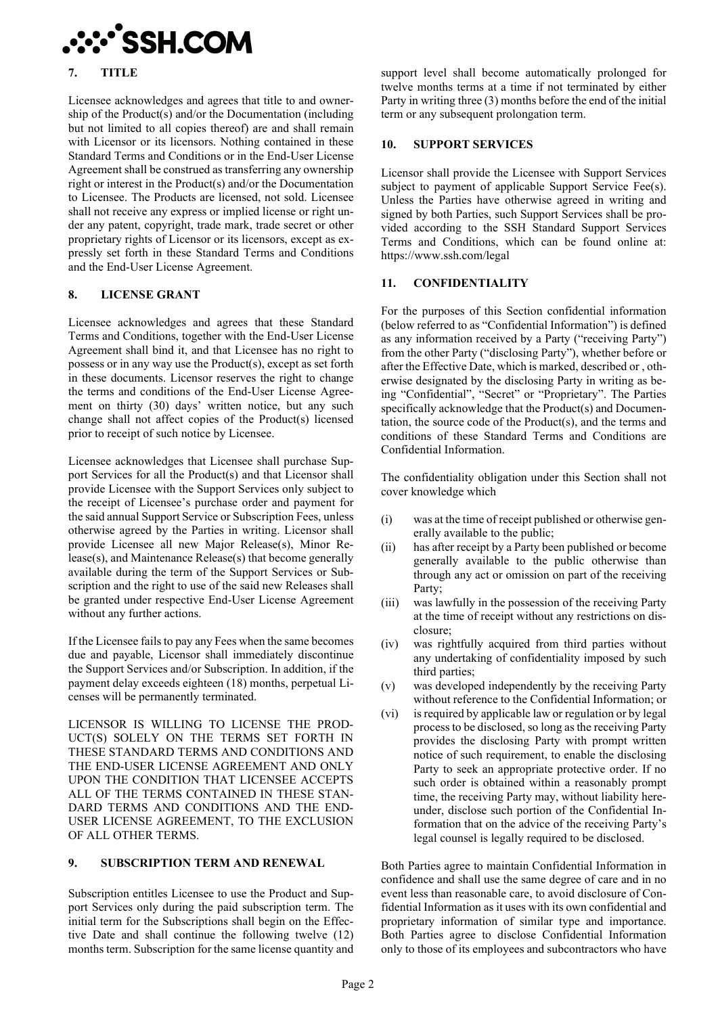

#### **7. TITLE**

Licensee acknowledges and agrees that title to and ownership of the Product(s) and/or the Documentation (including but not limited to all copies thereof) are and shall remain with Licensor or its licensors. Nothing contained in these Standard Terms and Conditions or in the End-User License Agreement shall be construed as transferring any ownership right or interest in the Product(s) and/or the Documentation to Licensee. The Products are licensed, not sold. Licensee shall not receive any express or implied license or right under any patent, copyright, trade mark, trade secret or other proprietary rights of Licensor or its licensors, except as expressly set forth in these Standard Terms and Conditions and the End-User License Agreement.

#### **8. LICENSE GRANT**

Licensee acknowledges and agrees that these Standard Terms and Conditions, together with the End-User License Agreement shall bind it, and that Licensee has no right to possess or in any way use the Product(s), except as set forth in these documents. Licensor reserves the right to change the terms and conditions of the End-User License Agreement on thirty (30) days' written notice, but any such change shall not affect copies of the Product(s) licensed prior to receipt of such notice by Licensee.

Licensee acknowledges that Licensee shall purchase Support Services for all the Product(s) and that Licensor shall provide Licensee with the Support Services only subject to the receipt of Licensee's purchase order and payment for the said annual Support Service or Subscription Fees, unless otherwise agreed by the Parties in writing. Licensor shall provide Licensee all new Major Release(s), Minor Release(s), and Maintenance Release(s) that become generally available during the term of the Support Services or Subscription and the right to use of the said new Releases shall be granted under respective End-User License Agreement without any further actions.

If the Licensee fails to pay any Fees when the same becomes due and payable, Licensor shall immediately discontinue the Support Services and/or Subscription. In addition, if the payment delay exceeds eighteen (18) months, perpetual Licenses will be permanently terminated.

LICENSOR IS WILLING TO LICENSE THE PROD-UCT(S) SOLELY ON THE TERMS SET FORTH IN THESE STANDARD TERMS AND CONDITIONS AND THE END-USER LICENSE AGREEMENT AND ONLY UPON THE CONDITION THAT LICENSEE ACCEPTS ALL OF THE TERMS CONTAINED IN THESE STAN-DARD TERMS AND CONDITIONS AND THE END-USER LICENSE AGREEMENT, TO THE EXCLUSION OF ALL OTHER TERMS.

#### **9. SUBSCRIPTION TERM AND RENEWAL**

Subscription entitles Licensee to use the Product and Support Services only during the paid subscription term. The initial term for the Subscriptions shall begin on the Effective Date and shall continue the following twelve (12) months term. Subscription for the same license quantity and support level shall become automatically prolonged for twelve months terms at a time if not terminated by either Party in writing three (3) months before the end of the initial term or any subsequent prolongation term.

#### **10. SUPPORT SERVICES**

Licensor shall provide the Licensee with Support Services subject to payment of applicable Support Service Fee(s). Unless the Parties have otherwise agreed in writing and signed by both Parties, such Support Services shall be provided according to the SSH Standard Support Services Terms and Conditions, which can be found online at: https://www.ssh.com/legal

#### **11. CONFIDENTIALITY**

For the purposes of this Section confidential information (below referred to as "Confidential Information") is defined as any information received by a Party ("receiving Party") from the other Party ("disclosing Party"), whether before or after the Effective Date, which is marked, described or , otherwise designated by the disclosing Party in writing as being "Confidential", "Secret" or "Proprietary". The Parties specifically acknowledge that the Product(s) and Documentation, the source code of the Product(s), and the terms and conditions of these Standard Terms and Conditions are Confidential Information.

The confidentiality obligation under this Section shall not cover knowledge which

- (i) was at the time of receipt published or otherwise generally available to the public;
- (ii) has after receipt by a Party been published or become generally available to the public otherwise than through any act or omission on part of the receiving Party;
- (iii) was lawfully in the possession of the receiving Party at the time of receipt without any restrictions on disclosure;
- (iv) was rightfully acquired from third parties without any undertaking of confidentiality imposed by such third parties;
- (v) was developed independently by the receiving Party without reference to the Confidential Information; or
- (vi) is required by applicable law or regulation or by legal process to be disclosed, so long as the receiving Party provides the disclosing Party with prompt written notice of such requirement, to enable the disclosing Party to seek an appropriate protective order. If no such order is obtained within a reasonably prompt time, the receiving Party may, without liability hereunder, disclose such portion of the Confidential Information that on the advice of the receiving Party's legal counsel is legally required to be disclosed.

Both Parties agree to maintain Confidential Information in confidence and shall use the same degree of care and in no event less than reasonable care, to avoid disclosure of Confidential Information as it uses with its own confidential and proprietary information of similar type and importance. Both Parties agree to disclose Confidential Information only to those of its employees and subcontractors who have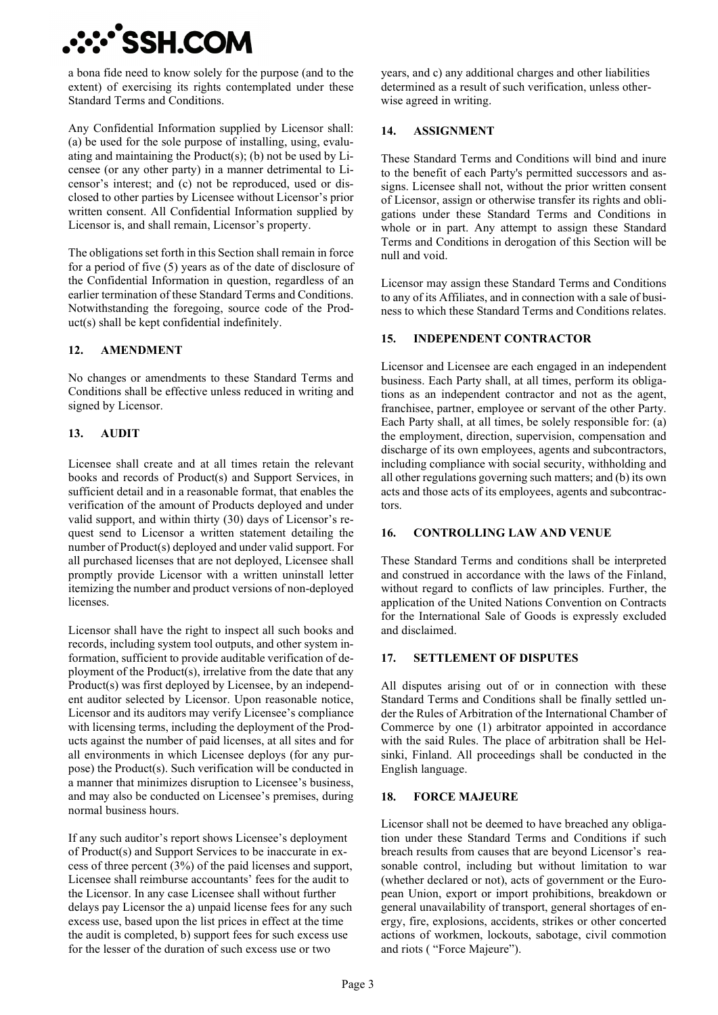## **:::'SSH.CON**

a bona fide need to know solely for the purpose (and to the extent) of exercising its rights contemplated under these Standard Terms and Conditions.

Any Confidential Information supplied by Licensor shall: (a) be used for the sole purpose of installing, using, evaluating and maintaining the Product(s); (b) not be used by Licensee (or any other party) in a manner detrimental to Licensor's interest; and (c) not be reproduced, used or disclosed to other parties by Licensee without Licensor's prior written consent. All Confidential Information supplied by Licensor is, and shall remain, Licensor's property.

The obligations set forth in this Section shall remain in force for a period of five (5) years as of the date of disclosure of the Confidential Information in question, regardless of an earlier termination of these Standard Terms and Conditions. Notwithstanding the foregoing, source code of the Product(s) shall be kept confidential indefinitely.

## **12. AMENDMENT**

No changes or amendments to these Standard Terms and Conditions shall be effective unless reduced in writing and signed by Licensor.

## **13. AUDIT**

Licensee shall create and at all times retain the relevant books and records of Product(s) and Support Services, in sufficient detail and in a reasonable format, that enables the verification of the amount of Products deployed and under valid support, and within thirty (30) days of Licensor's request send to Licensor a written statement detailing the number of Product(s) deployed and under valid support. For all purchased licenses that are not deployed, Licensee shall promptly provide Licensor with a written uninstall letter itemizing the number and product versions of non-deployed licenses.

Licensor shall have the right to inspect all such books and records, including system tool outputs, and other system information, sufficient to provide auditable verification of deployment of the Product(s), irrelative from the date that any Product(s) was first deployed by Licensee, by an independent auditor selected by Licensor. Upon reasonable notice, Licensor and its auditors may verify Licensee's compliance with licensing terms, including the deployment of the Products against the number of paid licenses, at all sites and for all environments in which Licensee deploys (for any purpose) the Product(s). Such verification will be conducted in a manner that minimizes disruption to Licensee's business, and may also be conducted on Licensee's premises, during normal business hours.

If any such auditor's report shows Licensee's deployment of Product(s) and Support Services to be inaccurate in excess of three percent (3%) of the paid licenses and support, Licensee shall reimburse accountants' fees for the audit to the Licensor. In any case Licensee shall without further delays pay Licensor the a) unpaid license fees for any such excess use, based upon the list prices in effect at the time the audit is completed, b) support fees for such excess use for the lesser of the duration of such excess use or two

years, and c) any additional charges and other liabilities determined as a result of such verification, unless otherwise agreed in writing.

## **14. ASSIGNMENT**

These Standard Terms and Conditions will bind and inure to the benefit of each Party's permitted successors and assigns. Licensee shall not, without the prior written consent of Licensor, assign or otherwise transfer its rights and obligations under these Standard Terms and Conditions in whole or in part. Any attempt to assign these Standard Terms and Conditions in derogation of this Section will be null and void.

Licensor may assign these Standard Terms and Conditions to any of its Affiliates, and in connection with a sale of business to which these Standard Terms and Conditions relates.

## **15. INDEPENDENT CONTRACTOR**

Licensor and Licensee are each engaged in an independent business. Each Party shall, at all times, perform its obligations as an independent contractor and not as the agent, franchisee, partner, employee or servant of the other Party. Each Party shall, at all times, be solely responsible for: (a) the employment, direction, supervision, compensation and discharge of its own employees, agents and subcontractors, including compliance with social security, withholding and all other regulations governing such matters; and (b) its own acts and those acts of its employees, agents and subcontractors.

### **16. CONTROLLING LAW AND VENUE**

These Standard Terms and conditions shall be interpreted and construed in accordance with the laws of the Finland, without regard to conflicts of law principles. Further, the application of the United Nations Convention on Contracts for the International Sale of Goods is expressly excluded and disclaimed.

### **17. SETTLEMENT OF DISPUTES**

All disputes arising out of or in connection with these Standard Terms and Conditions shall be finally settled under the Rules of Arbitration of the International Chamber of Commerce by one (1) arbitrator appointed in accordance with the said Rules. The place of arbitration shall be Helsinki, Finland. All proceedings shall be conducted in the English language.

### **18. FORCE MAJEURE**

Licensor shall not be deemed to have breached any obligation under these Standard Terms and Conditions if such breach results from causes that are beyond Licensor's reasonable control, including but without limitation to war (whether declared or not), acts of government or the European Union, export or import prohibitions, breakdown or general unavailability of transport, general shortages of energy, fire, explosions, accidents, strikes or other concerted actions of workmen, lockouts, sabotage, civil commotion and riots ( "Force Majeure").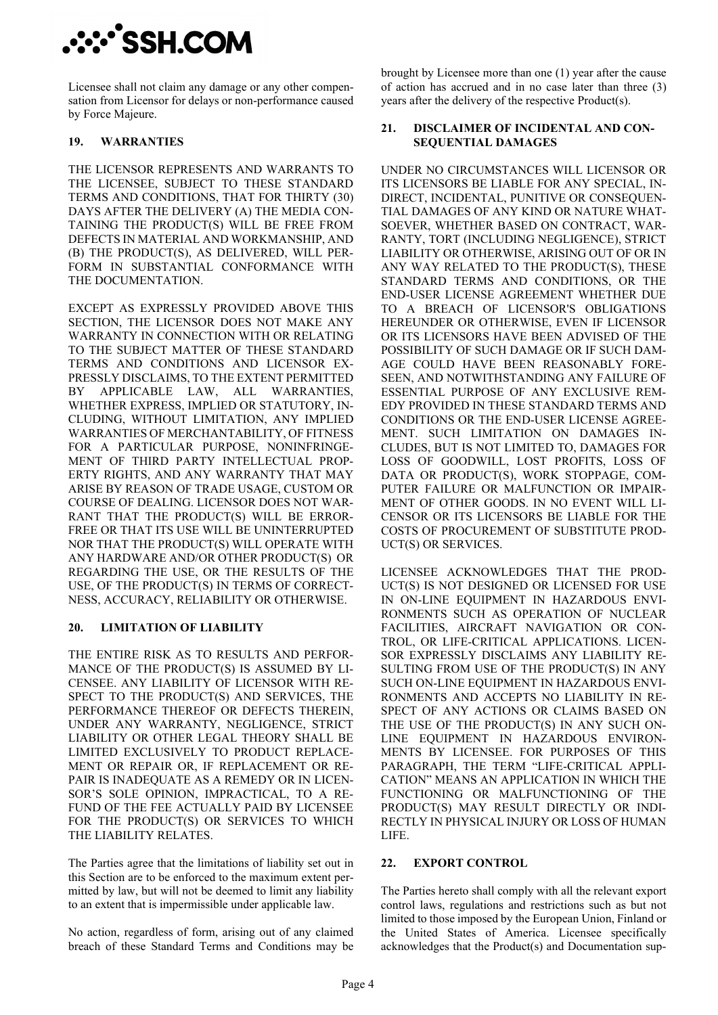# **᠅᠅`SSH.COM**

Licensee shall not claim any damage or any other compensation from Licensor for delays or non-performance caused by Force Majeure.

## **19. WARRANTIES**

THE LICENSOR REPRESENTS AND WARRANTS TO THE LICENSEE, SUBJECT TO THESE STANDARD TERMS AND CONDITIONS, THAT FOR THIRTY (30) DAYS AFTER THE DELIVERY (A) THE MEDIA CON-TAINING THE PRODUCT(S) WILL BE FREE FROM DEFECTS IN MATERIAL AND WORKMANSHIP, AND (B) THE PRODUCT(S), AS DELIVERED, WILL PER-FORM IN SUBSTANTIAL CONFORMANCE WITH THE DOCUMENTATION.

EXCEPT AS EXPRESSLY PROVIDED ABOVE THIS SECTION, THE LICENSOR DOES NOT MAKE ANY WARRANTY IN CONNECTION WITH OR RELATING TO THE SUBJECT MATTER OF THESE STANDARD TERMS AND CONDITIONS AND LICENSOR EX-PRESSLY DISCLAIMS, TO THE EXTENT PERMITTED BY APPLICABLE LAW, ALL WARRANTIES, WHETHER EXPRESS, IMPLIED OR STATUTORY, IN-CLUDING, WITHOUT LIMITATION, ANY IMPLIED WARRANTIES OF MERCHANTABILITY, OF FITNESS FOR A PARTICULAR PURPOSE, NONINFRINGE-MENT OF THIRD PARTY INTELLECTUAL PROP-ERTY RIGHTS, AND ANY WARRANTY THAT MAY ARISE BY REASON OF TRADE USAGE, CUSTOM OR COURSE OF DEALING. LICENSOR DOES NOT WAR-RANT THAT THE PRODUCT(S) WILL BE ERROR-FREE OR THAT ITS USE WILL BE UNINTERRUPTED NOR THAT THE PRODUCT(S) WILL OPERATE WITH ANY HARDWARE AND/OR OTHER PRODUCT(S) OR REGARDING THE USE, OR THE RESULTS OF THE USE, OF THE PRODUCT(S) IN TERMS OF CORRECT-NESS, ACCURACY, RELIABILITY OR OTHERWISE.

### **20. LIMITATION OF LIABILITY**

THE ENTIRE RISK AS TO RESULTS AND PERFOR-MANCE OF THE PRODUCT(S) IS ASSUMED BY LI-CENSEE. ANY LIABILITY OF LICENSOR WITH RE-SPECT TO THE PRODUCT(S) AND SERVICES, THE PERFORMANCE THEREOF OR DEFECTS THEREIN, UNDER ANY WARRANTY, NEGLIGENCE, STRICT LIABILITY OR OTHER LEGAL THEORY SHALL BE LIMITED EXCLUSIVELY TO PRODUCT REPLACE-MENT OR REPAIR OR, IF REPLACEMENT OR RE-PAIR IS INADEQUATE AS A REMEDY OR IN LICEN-SOR'S SOLE OPINION, IMPRACTICAL, TO A RE-FUND OF THE FEE ACTUALLY PAID BY LICENSEE FOR THE PRODUCT(S) OR SERVICES TO WHICH THE LIABILITY RELATES.

The Parties agree that the limitations of liability set out in this Section are to be enforced to the maximum extent permitted by law, but will not be deemed to limit any liability to an extent that is impermissible under applicable law.

No action, regardless of form, arising out of any claimed breach of these Standard Terms and Conditions may be brought by Licensee more than one (1) year after the cause of action has accrued and in no case later than three (3) years after the delivery of the respective Product(s).

#### **21. DISCLAIMER OF INCIDENTAL AND CON-SEQUENTIAL DAMAGES**

UNDER NO CIRCUMSTANCES WILL LICENSOR OR ITS LICENSORS BE LIABLE FOR ANY SPECIAL, IN-DIRECT, INCIDENTAL, PUNITIVE OR CONSEQUEN-TIAL DAMAGES OF ANY KIND OR NATURE WHAT-SOEVER, WHETHER BASED ON CONTRACT, WAR-RANTY, TORT (INCLUDING NEGLIGENCE), STRICT LIABILITY OR OTHERWISE, ARISING OUT OF OR IN ANY WAY RELATED TO THE PRODUCT(S), THESE STANDARD TERMS AND CONDITIONS, OR THE END-USER LICENSE AGREEMENT WHETHER DUE TO A BREACH OF LICENSOR'S OBLIGATIONS HEREUNDER OR OTHERWISE, EVEN IF LICENSOR OR ITS LICENSORS HAVE BEEN ADVISED OF THE POSSIBILITY OF SUCH DAMAGE OR IF SUCH DAM-AGE COULD HAVE BEEN REASONABLY FORE-SEEN, AND NOTWITHSTANDING ANY FAILURE OF ESSENTIAL PURPOSE OF ANY EXCLUSIVE REM-EDY PROVIDED IN THESE STANDARD TERMS AND CONDITIONS OR THE END-USER LICENSE AGREE-MENT. SUCH LIMITATION ON DAMAGES IN-CLUDES, BUT IS NOT LIMITED TO, DAMAGES FOR LOSS OF GOODWILL, LOST PROFITS, LOSS OF DATA OR PRODUCT(S), WORK STOPPAGE, COM-PUTER FAILURE OR MALFUNCTION OR IMPAIR-MENT OF OTHER GOODS. IN NO EVENT WILL LI-CENSOR OR ITS LICENSORS BE LIABLE FOR THE COSTS OF PROCUREMENT OF SUBSTITUTE PROD-UCT(S) OR SERVICES.

LICENSEE ACKNOWLEDGES THAT THE PROD-UCT(S) IS NOT DESIGNED OR LICENSED FOR USE IN ON-LINE EQUIPMENT IN HAZARDOUS ENVI-RONMENTS SUCH AS OPERATION OF NUCLEAR FACILITIES, AIRCRAFT NAVIGATION OR CON-TROL, OR LIFE-CRITICAL APPLICATIONS. LICEN-SOR EXPRESSLY DISCLAIMS ANY LIABILITY RE-SULTING FROM USE OF THE PRODUCT(S) IN ANY SUCH ON-LINE EQUIPMENT IN HAZARDOUS ENVI-RONMENTS AND ACCEPTS NO LIABILITY IN RE-SPECT OF ANY ACTIONS OR CLAIMS BASED ON THE USE OF THE PRODUCT(S) IN ANY SUCH ON-LINE EQUIPMENT IN HAZARDOUS ENVIRON-MENTS BY LICENSEE. FOR PURPOSES OF THIS PARAGRAPH, THE TERM "LIFE-CRITICAL APPLI-CATION" MEANS AN APPLICATION IN WHICH THE FUNCTIONING OR MALFUNCTIONING OF THE PRODUCT(S) MAY RESULT DIRECTLY OR INDI-RECTLY IN PHYSICAL INJURY OR LOSS OF HUMAN LIFE.

### **22. EXPORT CONTROL**

The Parties hereto shall comply with all the relevant export control laws, regulations and restrictions such as but not limited to those imposed by the European Union, Finland or the United States of America. Licensee specifically acknowledges that the Product(s) and Documentation sup-